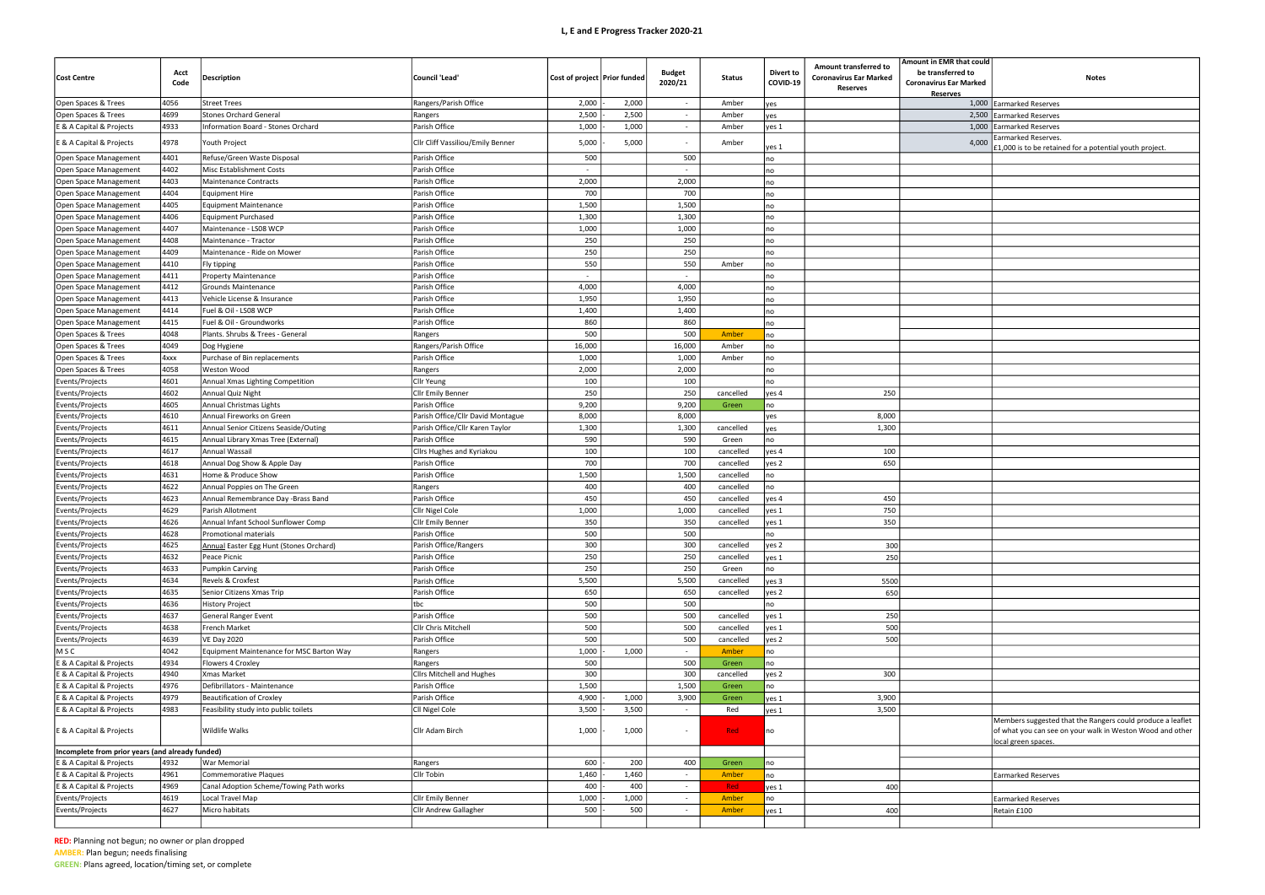## L, E and E Progress Tracker 2020-21

| that could<br>ed to<br>r Marked | <b>Notes</b>                                                                                                                                   |
|---------------------------------|------------------------------------------------------------------------------------------------------------------------------------------------|
| <u>s</u><br>1,000               | Earmarked Reserves                                                                                                                             |
| 2,500                           | Earmarked Reserves                                                                                                                             |
| 1,000                           | Earmarked Reserves                                                                                                                             |
| 4,000                           | Earmarked Reserves.<br>£1,000 is to be retained for a potential youth project.                                                                 |
|                                 |                                                                                                                                                |
|                                 |                                                                                                                                                |
|                                 |                                                                                                                                                |
|                                 |                                                                                                                                                |
|                                 |                                                                                                                                                |
|                                 |                                                                                                                                                |
|                                 |                                                                                                                                                |
|                                 |                                                                                                                                                |
|                                 |                                                                                                                                                |
|                                 |                                                                                                                                                |
|                                 |                                                                                                                                                |
|                                 |                                                                                                                                                |
|                                 |                                                                                                                                                |
|                                 |                                                                                                                                                |
|                                 |                                                                                                                                                |
|                                 |                                                                                                                                                |
|                                 |                                                                                                                                                |
|                                 |                                                                                                                                                |
|                                 |                                                                                                                                                |
|                                 |                                                                                                                                                |
|                                 |                                                                                                                                                |
|                                 |                                                                                                                                                |
|                                 |                                                                                                                                                |
|                                 |                                                                                                                                                |
|                                 |                                                                                                                                                |
|                                 |                                                                                                                                                |
|                                 |                                                                                                                                                |
|                                 |                                                                                                                                                |
|                                 |                                                                                                                                                |
|                                 |                                                                                                                                                |
|                                 |                                                                                                                                                |
|                                 |                                                                                                                                                |
|                                 |                                                                                                                                                |
|                                 |                                                                                                                                                |
|                                 |                                                                                                                                                |
|                                 |                                                                                                                                                |
|                                 |                                                                                                                                                |
|                                 |                                                                                                                                                |
|                                 |                                                                                                                                                |
|                                 | Members suggested that the Rangers could produce a leaflet<br>of what you can see on your walk in Weston Wood and other<br>local green spaces. |
|                                 |                                                                                                                                                |
|                                 |                                                                                                                                                |
|                                 | <b>Earmarked Reserves</b>                                                                                                                      |
|                                 | <b>Earmarked Reserves</b>                                                                                                                      |
|                                 | Retain £100                                                                                                                                    |
|                                 |                                                                                                                                                |

| <b>Cost Centre</b>                                   | Acct<br>Code | <b>Description</b>                                      | Council 'Lead'                    | Cost of project   Prior funded |                | <b>Budget</b><br>2020/21           | <b>Status</b>     | <b>Divert to</b><br>COVID-19 | Amount transferred to<br><b>Coronavirus Ear Marked</b><br>Reserves | Amount in EMR that could<br>be transferred to<br><b>Coronavirus Ear Marked</b><br><b>Reserves</b> |                                                                 |
|------------------------------------------------------|--------------|---------------------------------------------------------|-----------------------------------|--------------------------------|----------------|------------------------------------|-------------------|------------------------------|--------------------------------------------------------------------|---------------------------------------------------------------------------------------------------|-----------------------------------------------------------------|
| Open Spaces & Trees                                  | 4056         | <b>Street Trees</b>                                     | Rangers/Parish Office             | 2,000                          | 2,000          | $\sim$                             | Amber             | yes                          |                                                                    |                                                                                                   | 1,000 Earmarked Reserves                                        |
| Open Spaces & Trees                                  | 4699         | <b>Stones Orchard General</b>                           | Rangers                           | 2,500                          | 2,500          | $\sim$                             | Amber             | yes                          |                                                                    |                                                                                                   | 2,500 Earmarked Reserves                                        |
| E & A Capital & Projects                             | 4933         | <b>Information Board - Stones Orchard</b>               | Parish Office                     | 1,000                          | 1,000          | $\sim$                             | Amber             | yes 1                        |                                                                    |                                                                                                   | 1,000 Earmarked Reserves                                        |
| E & A Capital & Projects                             | 4978         | Youth Project                                           | Cllr Cliff Vassiliou/Emily Benner | 5,000                          | 5,000          |                                    | Amber             | yes 1                        |                                                                    | 4,000                                                                                             | Earmarked Reserves.<br>£1,000 is to be retair                   |
| Open Space Management                                | 4401         | Refuse/Green Waste Disposal                             | Parish Office                     | 500                            |                | 500                                |                   | no                           |                                                                    |                                                                                                   |                                                                 |
| Open Space Management                                | 4402         | Misc Establishment Costs                                | Parish Office                     |                                |                |                                    |                   | no                           |                                                                    |                                                                                                   |                                                                 |
| Open Space Management                                | 4403         | <b>Maintenance Contracts</b>                            | Parish Office                     | 2,000                          |                | 2,000                              |                   | no                           |                                                                    |                                                                                                   |                                                                 |
| Open Space Management                                | 4404         | <b>Equipment Hire</b>                                   | Parish Office                     | 700                            |                | 700                                |                   | no                           |                                                                    |                                                                                                   |                                                                 |
| Open Space Management                                | 4405         | <b>Equipment Maintenance</b>                            | Parish Office                     | 1,500                          |                | 1,500                              |                   | no                           |                                                                    |                                                                                                   |                                                                 |
| Open Space Management                                | 4406         | <b>Equipment Purchased</b>                              | Parish Office                     | 1,300                          |                | 1,300                              |                   | no                           |                                                                    |                                                                                                   |                                                                 |
| Open Space Management                                | 4407         | Maintenance - LS08 WCP                                  | Parish Office                     | 1,000                          |                | 1,000                              |                   | no                           |                                                                    |                                                                                                   |                                                                 |
| Open Space Management                                | 4408         | Maintenance - Tractor                                   | Parish Office                     | 250                            |                | 250                                |                   | no                           |                                                                    |                                                                                                   |                                                                 |
| Open Space Management                                | 4409         | Maintenance - Ride on Mower                             | Parish Office                     | 250                            |                | 250                                |                   | no                           |                                                                    |                                                                                                   |                                                                 |
| Open Space Management                                | 4410         | Fly tipping                                             | Parish Office                     | 550                            |                | 550                                | Amber             | no                           |                                                                    |                                                                                                   |                                                                 |
| Open Space Management                                | 4411         | <b>Property Maintenance</b>                             | Parish Office                     | $\sim$                         |                | $\sim$                             |                   | no                           |                                                                    |                                                                                                   |                                                                 |
| Open Space Management                                | 4412         | <b>Grounds Maintenance</b>                              | Parish Office                     | 4,000                          |                | 4,000                              |                   | no                           |                                                                    |                                                                                                   |                                                                 |
| Open Space Management                                | 4413         | Vehicle License & Insurance                             | Parish Office                     | 1,950                          |                | 1,950                              |                   | no                           |                                                                    |                                                                                                   |                                                                 |
| Open Space Management                                | 4414         | Fuel & Oil - LS08 WCP                                   | Parish Office                     | 1,400                          |                | 1,400                              |                   | no                           |                                                                    |                                                                                                   |                                                                 |
| Open Space Management                                | 4415         | Fuel & Oil - Groundworks                                | Parish Office                     | 860                            |                | 860                                |                   | no                           |                                                                    |                                                                                                   |                                                                 |
| Open Spaces & Trees                                  | 4048         | Plants. Shrubs & Trees - General                        | Rangers                           | 500                            |                | 500                                | Amber             | no                           |                                                                    |                                                                                                   |                                                                 |
| Open Spaces & Trees                                  | 4049         | Dog Hygiene                                             | Rangers/Parish Office             | 16,000                         |                | 16,000                             | Amber             | no                           |                                                                    |                                                                                                   |                                                                 |
| Open Spaces & Trees                                  | 4xxx         | Purchase of Bin replacements                            | Parish Office                     | 1,000                          |                | 1,000                              | Amber             | no                           |                                                                    |                                                                                                   |                                                                 |
| Open Spaces & Trees                                  | 4058         | Weston Wood                                             | Rangers                           | 2,000                          |                | 2,000                              |                   | no                           |                                                                    |                                                                                                   |                                                                 |
| Events/Projects                                      | 4601         | Annual Xmas Lighting Competition                        | Cllr Yeung                        | 100                            |                | 100                                |                   | no                           |                                                                    |                                                                                                   |                                                                 |
| Events/Projects                                      | 4602         | <b>Annual Quiz Night</b>                                | <b>Cllr Emily Benner</b>          | 250                            |                | 250                                | cancelled         | yes 4                        | 250                                                                |                                                                                                   |                                                                 |
| Events/Projects                                      | 4605         | Annual Christmas Lights                                 | Parish Office                     | 9,200                          |                | 9,200                              | Green             | no                           |                                                                    |                                                                                                   |                                                                 |
| Events/Projects                                      | 4610         | Annual Fireworks on Green                               | Parish Office/Cllr David Montague | 8,000                          |                | 8,000                              |                   | yes                          | 8,000                                                              |                                                                                                   |                                                                 |
| Events/Projects                                      | 4611         | Annual Senior Citizens Seaside/Outing                   | Parish Office/Cllr Karen Taylor   | 1,300                          |                | 1,300                              | cancelled         |                              | 1,300                                                              |                                                                                                   |                                                                 |
| Events/Projects                                      | 4615         | Annual Library Xmas Tree (External)                     | Parish Office                     | 590                            |                | 590                                | Green             | yes<br>no                    |                                                                    |                                                                                                   |                                                                 |
| Events/Projects                                      | 4617         | Annual Wassail                                          | Cllrs Hughes and Kyriakou         | 100                            |                | 100                                | cancelled         | yes 4                        | 100                                                                |                                                                                                   |                                                                 |
| Events/Projects                                      | 4618         | Annual Dog Show & Apple Day                             | Parish Office                     | 700                            |                | 700                                | cancelled         | yes 2                        | 650                                                                |                                                                                                   |                                                                 |
| Events/Projects                                      | 4631         | Home & Produce Show                                     | Parish Office                     | 1,500                          |                | 1,500                              | cancelled         | no                           |                                                                    |                                                                                                   |                                                                 |
| Events/Projects                                      | 4622         | Annual Poppies on The Green                             | Rangers                           | 400                            |                | 400                                | cancelled         | no                           |                                                                    |                                                                                                   |                                                                 |
| Events/Projects                                      | 4623         | Annual Remembrance Day -Brass Band                      | Parish Office                     | 450                            |                | 450                                | cancelled         | yes 4                        | 450                                                                |                                                                                                   |                                                                 |
| Events/Projects                                      | 4629         | Parish Allotment                                        | Cllr Nigel Cole                   | 1,000                          |                | 1,000                              | cancelled         | yes 1                        | 750                                                                |                                                                                                   |                                                                 |
| Events/Projects                                      | 4626         | Annual Infant School Sunflower Comp                     | <b>Cllr Emily Benner</b>          | 350                            |                | 350                                | cancelled         | yes 1                        | 350                                                                |                                                                                                   |                                                                 |
| Events/Projects                                      | 4628         | Promotional materials                                   | Parish Office                     | 500                            |                | 500                                |                   |                              |                                                                    |                                                                                                   |                                                                 |
| Events/Projects                                      | 4625         |                                                         | Parish Office/Rangers             | 300                            |                | 300                                | cancelled         | ∣no<br>yes 2                 | 300                                                                |                                                                                                   |                                                                 |
| Events/Projects                                      | 4632         | Annual Easter Egg Hunt (Stones Orchard)<br>Peace Picnic | Parish Office                     | 250                            |                | 250                                | cancelled         |                              | 250                                                                |                                                                                                   |                                                                 |
| Events/Projects                                      | 4633         | Pumpkin Carving                                         | Parish Office                     | 250                            |                | 250                                | Green             | yes 1<br>no                  |                                                                    |                                                                                                   |                                                                 |
| Events/Projects                                      | 4634         | Revels & Croxfest                                       | Parish Office                     | 5,500                          |                | 5,500                              | cancelled         |                              | 5500                                                               |                                                                                                   |                                                                 |
| Events/Projects                                      | 4635         | Senior Citizens Xmas Trip                               | Parish Office                     | 650                            |                | 650                                | cancelled         | yes 3<br>yes 2               | 650                                                                |                                                                                                   |                                                                 |
| Events/Projects                                      | 4636         | History Project                                         | tbc                               | 500                            |                | 500                                |                   | no                           |                                                                    |                                                                                                   |                                                                 |
| Events/Projects                                      | 4637         | General Ranger Event                                    | Parish Office                     | 500                            |                | 500                                | cancelled         |                              | 250                                                                |                                                                                                   |                                                                 |
| Events/Projects                                      | 4638         | French Market                                           | Cllr Chris Mitchell               | 500                            |                | 500                                | cancelled         | yes 1                        | 500                                                                |                                                                                                   |                                                                 |
| Events/Projects                                      | 4639         | <b>VE Day 2020</b>                                      | Parish Office                     | 500                            |                | 500                                |                   | yes 1                        |                                                                    |                                                                                                   |                                                                 |
|                                                      |              | Equipment Maintenance for MSC Barton Way                |                                   |                                |                |                                    | cancelled         | yes 2                        | 500                                                                |                                                                                                   |                                                                 |
| MSC<br>E & A Capital & Projects                      | 4042<br>4934 |                                                         | Rangers                           | 1,000<br>500                   | 1,000          | $\sim$<br>500                      | Amber             | no                           |                                                                    |                                                                                                   |                                                                 |
|                                                      |              | Flowers 4 Croxley                                       | Rangers                           | 300                            |                | 300                                | Green             | no                           | 300                                                                |                                                                                                   |                                                                 |
| E & A Capital & Projects                             | 4940         | Xmas Market                                             | <b>Cllrs Mitchell and Hughes</b>  |                                |                |                                    | cancelled         | yes 2                        |                                                                    |                                                                                                   |                                                                 |
| E & A Capital & Projects                             | 4976         | Defibrillators - Maintenance                            | Parish Office                     | 1,500                          |                | 1,500                              | Green             | no                           |                                                                    |                                                                                                   |                                                                 |
| E & A Capital & Projects                             | 4979         | <b>Beautification of Croxley</b>                        | Parish Office                     | 4,900                          | 1,000          | 3,900                              | Green             | yes 1                        | 3,900                                                              |                                                                                                   |                                                                 |
| E & A Capital & Projects<br>E & A Capital & Projects | 4983         | Feasibility study into public toilets<br>Wildlife Walks | Cll Nigel Cole<br>Cllr Adam Birch | 3,500<br>1,000                 | 3,500<br>1,000 | $\sim$<br>$\overline{\phantom{a}}$ | Red<br><b>Red</b> | yes 1<br>no                  | 3,500                                                              |                                                                                                   | Members suggested<br>of what you can see<br>local green spaces. |
| Incomplete from prior years (and already funded)     |              |                                                         |                                   |                                |                |                                    |                   |                              |                                                                    |                                                                                                   |                                                                 |
| E & A Capital & Projects                             | 4932         | War Memorial                                            | Rangers                           | 600                            | 200            | 400                                | Green             | no                           |                                                                    |                                                                                                   |                                                                 |
| E & A Capital & Projects                             | 4961         | <b>Commemorative Plaques</b>                            | Cllr Tobin                        | 1,460                          | 1,460          | $\sim$                             | Amber             | no                           |                                                                    |                                                                                                   | <b>Earmarked Reserves</b>                                       |
| E & A Capital & Projects                             | 4969         | Canal Adoption Scheme/Towing Path works                 |                                   | 400                            | 400            | $\sim$                             | Red               | yes 1                        | 400                                                                |                                                                                                   |                                                                 |
| Events/Projects                                      | 4619         | <b>Local Travel Map</b>                                 | Cllr Emily Benner                 | 1,000                          | 1,000          | $\sim$                             | Amber             | no                           |                                                                    |                                                                                                   | <b>Earmarked Reserves</b>                                       |
| Events/Projects                                      | 4627         | Micro habitats                                          | Cllr Andrew Gallagher             | 500                            | 500            | $\sim$                             | Amber             | $ye1$                        | 400                                                                |                                                                                                   | Retain £100                                                     |
|                                                      |              |                                                         |                                   |                                |                |                                    |                   |                              |                                                                    |                                                                                                   |                                                                 |